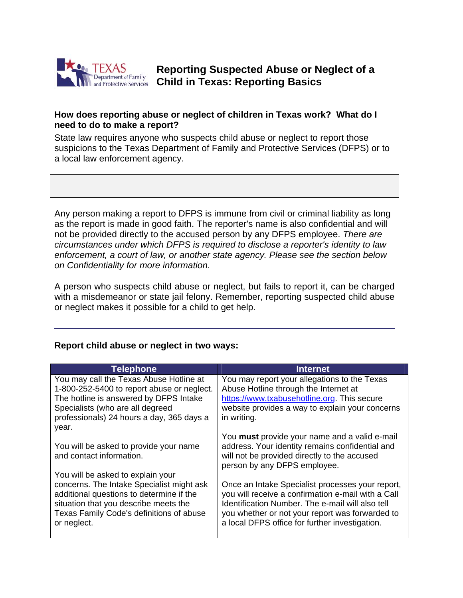

# **Reporting Suspected Abuse or Neglect of a Child in Texas: Reporting Basics**

## **How does reporting abuse or neglect of children in Texas work? What do I need to do to make a report?**

State law requires anyone who suspects child abuse or neglect to report those suspicions to the Texas Department of Family and Protective Services (DFPS) or to a local law enforcement agency.

Any person making a report to DFPS is immune from civil or criminal liability as long as the report is made in good faith. The reporter's name is also confidential and will not be provided directly to the accused person by any DFPS employee. *There are circumstances under which DFPS is required to disclose a reporter's identity to law enforcement, a court of law, or another state agency. Please see the section below on Confidentiality for more information.* 

A person who suspects child abuse or neglect, but fails to report it, can be charged with a misdemeanor or state jail felony. Remember, reporting suspected child abuse or neglect makes it possible for a child to get help.

| <b>Telephone</b>                                                                                                                                                                          | <b>Internet</b>                                                                                                                                                                                                                                                 |
|-------------------------------------------------------------------------------------------------------------------------------------------------------------------------------------------|-----------------------------------------------------------------------------------------------------------------------------------------------------------------------------------------------------------------------------------------------------------------|
| You may call the Texas Abuse Hotline at                                                                                                                                                   | You may report your allegations to the Texas                                                                                                                                                                                                                    |
| 1-800-252-5400 to report abuse or neglect.                                                                                                                                                | Abuse Hotline through the Internet at                                                                                                                                                                                                                           |
| The hotline is answered by DFPS Intake                                                                                                                                                    | https://www.txabusehotline.org. This secure                                                                                                                                                                                                                     |
| Specialists (who are all degreed                                                                                                                                                          | website provides a way to explain your concerns                                                                                                                                                                                                                 |
| professionals) 24 hours a day, 365 days a                                                                                                                                                 | in writing.                                                                                                                                                                                                                                                     |
| year.                                                                                                                                                                                     |                                                                                                                                                                                                                                                                 |
|                                                                                                                                                                                           | You must provide your name and a valid e-mail                                                                                                                                                                                                                   |
| You will be asked to provide your name                                                                                                                                                    | address. Your identity remains confidential and                                                                                                                                                                                                                 |
| and contact information.                                                                                                                                                                  | will not be provided directly to the accused<br>person by any DFPS employee.                                                                                                                                                                                    |
| You will be asked to explain your                                                                                                                                                         |                                                                                                                                                                                                                                                                 |
| concerns. The Intake Specialist might ask<br>additional questions to determine if the<br>situation that you describe meets the<br>Texas Family Code's definitions of abuse<br>or neglect. | Once an Intake Specialist processes your report,<br>you will receive a confirmation e-mail with a Call<br>Identification Number. The e-mail will also tell<br>you whether or not your report was forwarded to<br>a local DFPS office for further investigation. |
|                                                                                                                                                                                           |                                                                                                                                                                                                                                                                 |

### **Report child abuse or neglect in two ways:**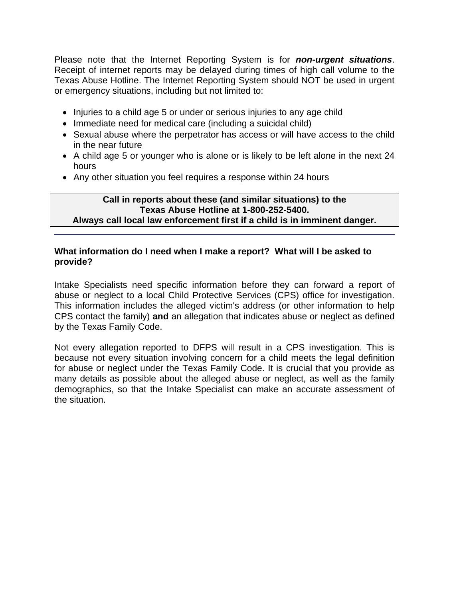Please note that the Internet Reporting System is for *non-urgent situations*. Receipt of internet reports may be delayed during times of high call volume to the Texas Abuse Hotline. The Internet Reporting System should NOT be used in urgent or emergency situations, including but not limited to:

- Injuries to a child age 5 or under or serious injuries to any age child
- Immediate need for medical care (including a suicidal child)
- Sexual abuse where the perpetrator has access or will have access to the child in the near future
- A child age 5 or younger who is alone or is likely to be left alone in the next 24 hours
- Any other situation you feel requires a response within 24 hours

### **Call in reports about these (and similar situations) to the Texas Abuse Hotline at 1-800-252-5400. Always call local law enforcement first if a child is in imminent danger.**

### **What information do I need when I make a report? What will I be asked to provide?**

Intake Specialists need specific information before they can forward a report of abuse or neglect to a local Child Protective Services (CPS) office for investigation. This information includes the alleged victim's address (or other information to help CPS contact the family) **and** an allegation that indicates abuse or neglect as defined by the Texas Family Code.

Not every allegation reported to DFPS will result in a CPS investigation. This is because not every situation involving concern for a child meets the legal definition for abuse or neglect under the Texas Family Code. It is crucial that you provide as many details as possible about the alleged abuse or neglect, as well as the family demographics, so that the Intake Specialist can make an accurate assessment of the situation.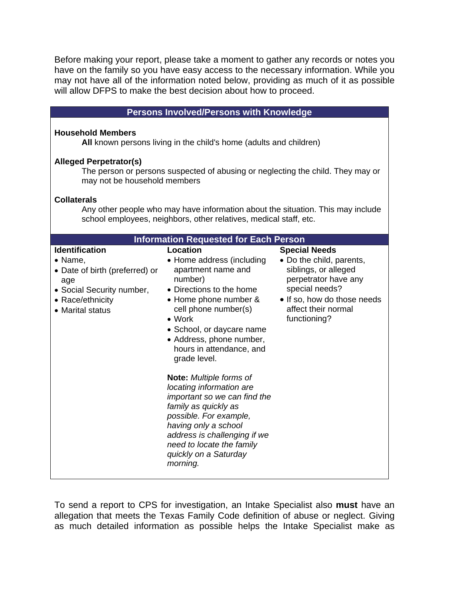Before making your report, please take a moment to gather any records or notes you have on the family so you have easy access to the necessary information. While you may not have all of the information noted below, providing as much of it as possible will allow DFPS to make the best decision about how to proceed.

| <b>Persons Involved/Persons with Knowledge</b>                                                                                                                             |                                                                                                                                                                                                                                                                                   |                                                                                                                                                                                          |  |
|----------------------------------------------------------------------------------------------------------------------------------------------------------------------------|-----------------------------------------------------------------------------------------------------------------------------------------------------------------------------------------------------------------------------------------------------------------------------------|------------------------------------------------------------------------------------------------------------------------------------------------------------------------------------------|--|
| <b>Household Members</b>                                                                                                                                                   | All known persons living in the child's home (adults and children)                                                                                                                                                                                                                |                                                                                                                                                                                          |  |
| <b>Alleged Perpetrator(s)</b><br>may not be household members                                                                                                              | The person or persons suspected of abusing or neglecting the child. They may or                                                                                                                                                                                                   |                                                                                                                                                                                          |  |
| <b>Collaterals</b><br>Any other people who may have information about the situation. This may include<br>school employees, neighbors, other relatives, medical staff, etc. |                                                                                                                                                                                                                                                                                   |                                                                                                                                                                                          |  |
| <b>Information Requested for Each Person</b>                                                                                                                               |                                                                                                                                                                                                                                                                                   |                                                                                                                                                                                          |  |
| <b>Identification</b><br>• Name,<br>• Date of birth (preferred) or<br>age<br>• Social Security number,<br>• Race/ethnicity<br>• Marital status                             | <b>Location</b><br>• Home address (including<br>apartment name and<br>number)<br>• Directions to the home<br>• Home phone number &<br>cell phone number(s)<br>$\bullet$ Work<br>• School, or daycare name<br>• Address, phone number,<br>hours in attendance, and<br>grade level. | <b>Special Needs</b><br>• Do the child, parents,<br>siblings, or alleged<br>perpetrator have any<br>special needs?<br>• If so, how do those needs<br>affect their normal<br>functioning? |  |
|                                                                                                                                                                            | Note: Multiple forms of<br>locating information are<br>important so we can find the<br>family as quickly as<br>possible. For example,<br>having only a school<br>address is challenging if we<br>need to locate the family<br>quickly on a Saturday<br>morning.                   |                                                                                                                                                                                          |  |

To send a report to CPS for investigation, an Intake Specialist also **must** have an allegation that meets the Texas Family Code definition of abuse or neglect. Giving as much detailed information as possible helps the Intake Specialist make as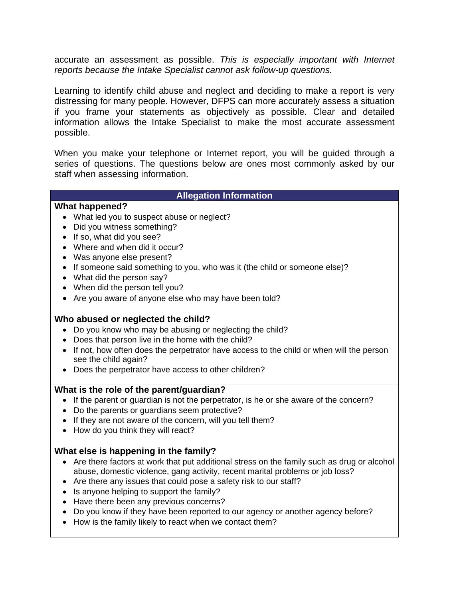accurate an assessment as possible. *This is especially important with Internet reports because the Intake Specialist cannot ask follow-up questions.* 

Learning to identify child abuse and neglect and deciding to make a report is very distressing for many people. However, DFPS can more accurately assess a situation if you frame your statements as objectively as possible. Clear and detailed information allows the Intake Specialist to make the most accurate assessment possible.

When you make your telephone or Internet report, you will be guided through a series of questions. The questions below are ones most commonly asked by our staff when assessing information.

### **Allegation Information**

#### **What happened?**

- What led you to suspect abuse or neglect?
- Did you witness something?
- If so, what did you see?
- Where and when did it occur?
- Was anyone else present?
- If someone said something to you, who was it (the child or someone else)?
- What did the person say?
- When did the person tell you?
- Are you aware of anyone else who may have been told?

#### **Who abused or neglected the child?**

- Do you know who may be abusing or neglecting the child?
- Does that person live in the home with the child?
- If not, how often does the perpetrator have access to the child or when will the person see the child again?
- Does the perpetrator have access to other children?

#### **What is the role of the parent/guardian?**

- If the parent or quardian is not the perpetrator, is he or she aware of the concern?
- Do the parents or quardians seem protective?
- If they are not aware of the concern, will you tell them?
- How do you think they will react?

### **What else is happening in the family?**

- Are there factors at work that put additional stress on the family such as drug or alcohol abuse, domestic violence, gang activity, recent marital problems or job loss?
- Are there any issues that could pose a safety risk to our staff?
- Is anyone helping to support the family?
- Have there been any previous concerns?
- Do you know if they have been reported to our agency or another agency before?
- How is the family likely to react when we contact them?